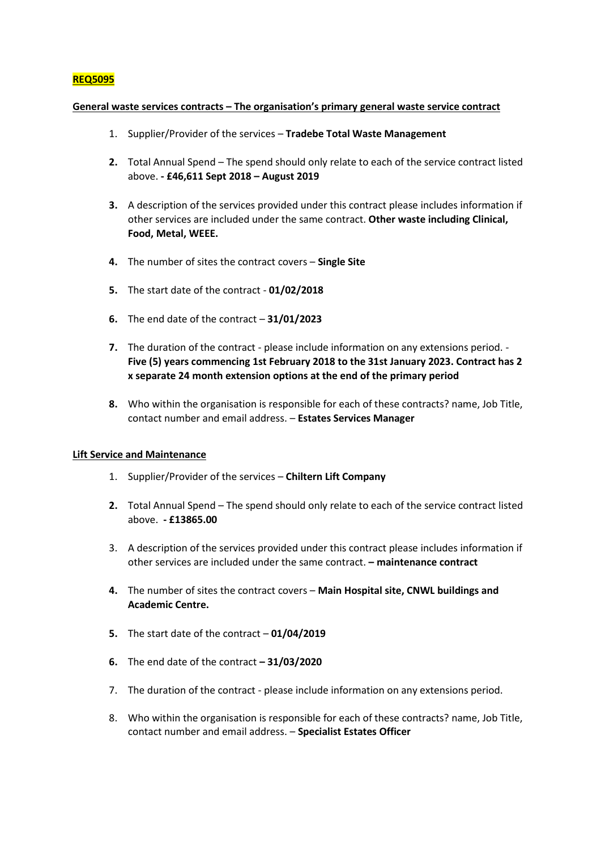# **REQ5095**

#### **General waste services contracts – The organisation's primary general waste service contract**

- 1. Supplier/Provider of the services **Tradebe Total Waste Management**
- **2.** Total Annual Spend The spend should only relate to each of the service contract listed above. **- £46,611 Sept 2018 – August 2019**
- **3.** A description of the services provided under this contract please includes information if other services are included under the same contract. **Other waste including Clinical, Food, Metal, WEEE.**
- **4.** The number of sites the contract covers **Single Site**
- **5.** The start date of the contract **01/02/2018**
- **6.** The end date of the contract **31/01/2023**
- **7.** The duration of the contract please include information on any extensions period. **Five (5) years commencing 1st February 2018 to the 31st January 2023. Contract has 2 x separate 24 month extension options at the end of the primary period**
- **8.** Who within the organisation is responsible for each of these contracts? name, Job Title, contact number and email address. – **Estates Services Manager**

#### **Lift Service and Maintenance**

- 1. Supplier/Provider of the services **Chiltern Lift Company**
- **2.** Total Annual Spend The spend should only relate to each of the service contract listed above. **- £13865.00**
- 3. A description of the services provided under this contract please includes information if other services are included under the same contract. **– maintenance contract**
- **4.** The number of sites the contract covers **Main Hospital site, CNWL buildings and Academic Centre.**
- **5.** The start date of the contract **01/04/2019**
- **6.** The end date of the contract **– 31/03/2020**
- 7. The duration of the contract please include information on any extensions period.
- 8. Who within the organisation is responsible for each of these contracts? name, Job Title, contact number and email address. – **Specialist Estates Officer**